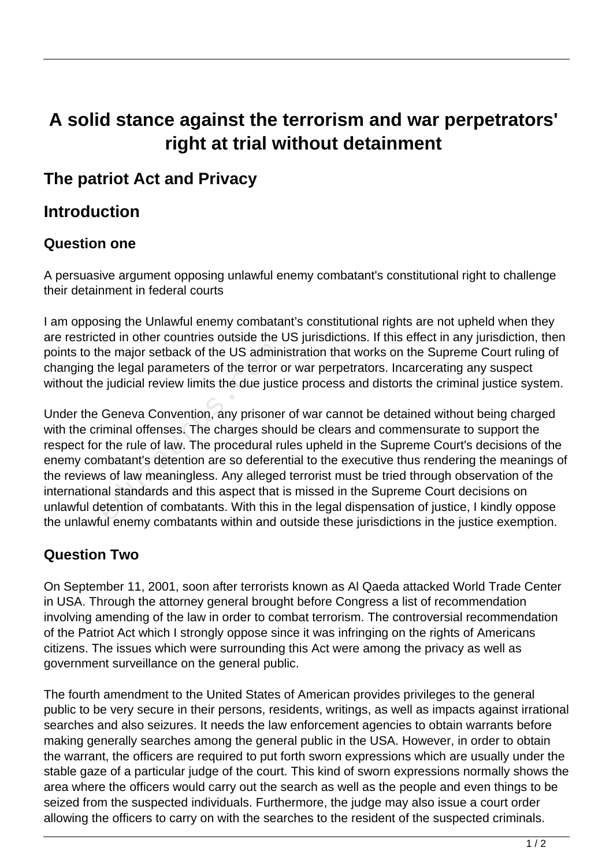# **A solid stance against the terrorism and war perpetrators' right at trial without detainment**

## **The patriot Act and Privacy**

## **Introduction**

#### **Question one**

A persuasive argument opposing unlawful enemy combatant's constitutional right to challenge their detainment in federal courts

I am opposing the Unlawful enemy combatant's constitutional rights are not upheld when they are restricted in other countries outside the US jurisdictions. If this effect in any jurisdiction, then points to the major setback of the US administration that works on the Supreme Court ruling of changing the legal parameters of the terror or war perpetrators. Incarcerating any suspect without the judicial review limits the due justice process and distorts the criminal justice system.

Under the Geneva Convention, any prisoner of war cannot be detained without being charged with the criminal offenses. The charges should be clears and commensurate to support the respect for the rule of law. The procedural rules upheld in the Supreme Court's decisions of the enemy combatant's detention are so deferential to the executive thus rendering the meanings of the reviews of law meaningless. Any alleged terrorist must be tried through observation of the international standards and this aspect that is missed in the Supreme Court decisions on unlawful detention of combatants. With this in the legal dispensation of justice, I kindly oppose the unlawful enemy combatants within and outside these jurisdictions in the justice exemption. The legal parameters of the US adminited legal parameters of the terror of the terror of the terror of the due justify denoted in the due in the convention, any prisoner iminal offenses. The charges shot the rule of law. T

#### **Question Two**

On September 11, 2001, soon after terrorists known as Al Qaeda attacked World Trade Center in USA. Through the attorney general brought before Congress a list of recommendation involving amending of the law in order to combat terrorism. The controversial recommendation of the Patriot Act which I strongly oppose since it was infringing on the rights of Americans citizens. The issues which were surrounding this Act were among the privacy as well as government surveillance on the general public.

The fourth amendment to the United States of American provides privileges to the general public to be very secure in their persons, residents, writings, as well as impacts against irrational searches and also seizures. It needs the law enforcement agencies to obtain warrants before making generally searches among the general public in the USA. However, in order to obtain the warrant, the officers are required to put forth sworn expressions which are usually under the stable gaze of a particular judge of the court. This kind of sworn expressions normally shows the area where the officers would carry out the search as well as the people and even things to be seized from the suspected individuals. Furthermore, the judge may also issue a court order allowing the officers to carry on with the searches to the resident of the suspected criminals.